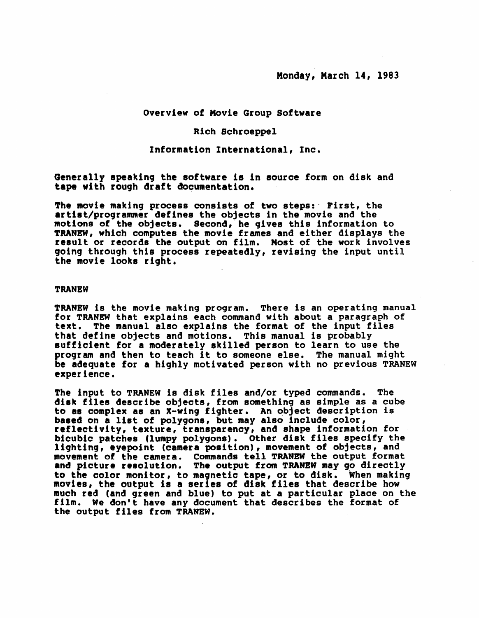## Overview of Movie Group Software

## Rich Schroeppel

#### Information International, Inc.

Generally epeaking the 80ftware is in source form on disk and tape with rough draft documentation.

The movie making process consists of two steps:' First, the artist/programmer defines the objects in the movie and the motions of the objects. Second, he gives this information to TRANBW, which computes the movie frames and either displays the result or records the output on film. Most of the work involves going through this process repeatedly, revising the input until the movie looks right.

#### **TRANEW**

TRANEW is the movie making program. There is an operating manual for TRANEW that explains each command with about a paragraph of text. The manual also explains the format of the input files text. The manual also explains the format of the input files<br>that define objects and motions. This manual is probably sufficient for a moderately skilled person to learn to use the<br>program and then to teach it to someone else. The manual might be adequate for a highly motivated person with no previous TRANEW experience.

The input to TRANEW is disk files and/or typed commands. The disk f1le8 describe objects, from something as simple as a cube to as complex as an X-wing fighter. An object description is based on a list of polygons, but may also include color, reflectivity, texture, transparency, and shape information for bicubic patches (lumpy polygons). Other disk files specify the lighting, eyepoint (camera position), movement of objects, and movement of the camera. Commands tell TRANEW the output format and picture resolution. The output from TRANEW may go directly to the color monitor, to magnetic tape, or to disk. When making movies, the output ia a serie8 of di8k file8 that describe how much red (and green and blue) to put at a particular place on the film. We don't have any document that describes the format of the output files from TRANEW.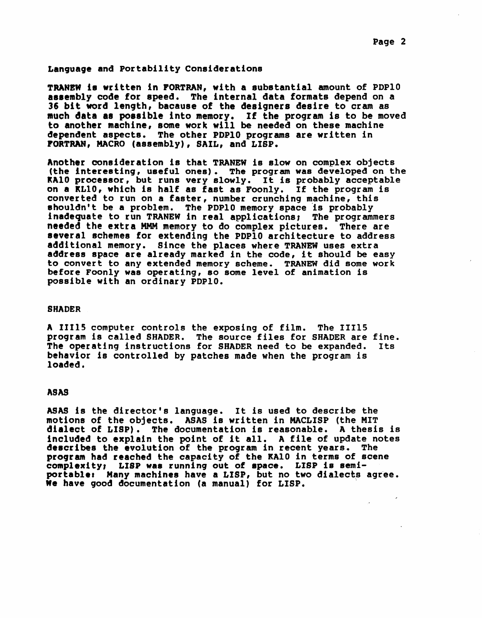#### Language and Portability Considerations

TRANEW is written in FORTRAN, with a substantial amount of PDP10 assembly code for speed. The internal data formats depend on a 36 bit word length, because of the designers desire to cram as much data as possible into memory. If the program is to be moved to another machine, aome work will be needed on these machine dependent aspects. The other PDPIO programs are written in PORTRAN, MACRO (assembly), SAIL, and LISP.

Another consideration is that TRANEW is slow on complex objects (the interesting, useful ones). The program was developed on the kAlO processor, but runs very slowly. It is probably acceptable on a KLlO, which is half as fast as Foonly. If the program is converted to run on a faster, number crunching machine, this shouldn't be a problem. The PDP10 memory space is probably inadequate to run TRANEW in real applications, The programmers needed the extra MMM memory to do complex pictures. There are several schemes for extending the PDPIO architecture to address additional memory. Since the places where TRANEW uses extra address space are already marked in the code, it should be easy to convert to any extended memory Bcheme. TRANEW did some work before Foon1y was operating, so some level of animation is possible with an ordinary PDPIO.

#### SHADER

A II11S computer controls the exposing of film. The IIllS program is called SHADER. The source files for SHADER are fine.<br>The operating instructions for SHADER need to be expanded. Its The operating instructions for SHADER need to be expanded. behavior is controlled by patches made when the program is loaded.

#### ASAS

ASAS is the director's language. It is used to describe the motions of the objects. ASAS is written in MACLISP (the MIT dialect of LISP). The documentation is reasonable. A thesis is dialect of Lisr). The documentation is reasonable. A thesis is<br>included to explain the point of it all. A file of update notes describes the evolution of the program in recent years. The program had reached the capacity of the KA10 in terms of scene complexity, LISP wae running out of apace. LISP is aemiportable: Many machines have a LISP, but no two dialects agree.<br>We have good documentation (a manual) for LISP.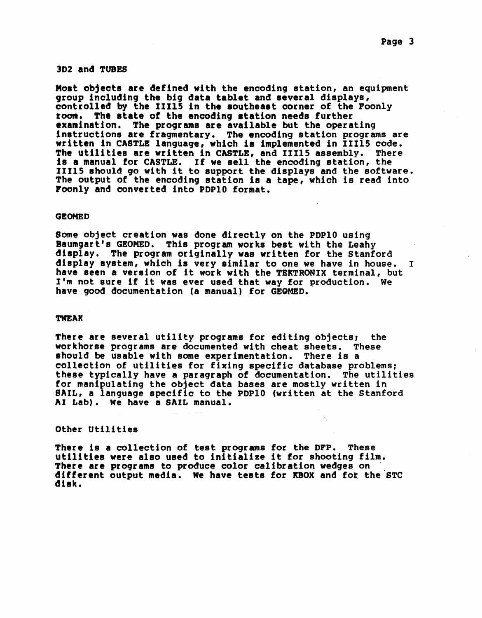#### 3D2 and TUBES

Most objects are defined with the encoding station, an equipment group including the big data tablet and several displays,<br>controlled by the 11115 in the southeast corner of the Foonly<br>room, The state of the encoding station needs further room. The state of the encoding station needs further<br>examination. The programs are available but the operating instructions are fragmentary. The encoding station programs are written in CASTLE language, which i8 implemented in 11115 code. The utilities are written in CASTLE, and 11115 assembly. There is a manual for CASTLE. If we sell the encoding station, the is a manual for CASTLE. It we sell the encoding station, the<br>IIIl5 should go with it to support the displays and the software. The output of the encoding station is a tape, which is read into roonly and converted into PDPlO format.

#### **GEOMED**

Some object creation was done directly on the PDP10 using<br>Baumgart's GEOMED. This program works best with the Leahy display. The program originally was written for the Stanford display system, which is very similar to one we have in house. <sup>I</sup> have Been a version of it work with the TEKTRONIX terminal, but I'm not sure if it was ever used that way for production. We have good documentation (a manual) for GEQMED.

## TWEAK

There are several utility programs for editing objects: the workhorse programs are documented with cheat sheets. These should be usable with some experimentation. There is a collection of utilities for fixing specific database problems: these typically have a paragraph of documentation. The utilities for manipulating the object data bases are mostly written in SAIL, a language specific to the PDP10 (written at the Stanford AI Lab). We have a SAIL manual.

#### other utilities

There is a collection of test programs for the DFP. These utilities were also used to initialize it for shooting film. There are programs to produce color calibration wedges on different output media. We have tests for KBOX and for the STC disk.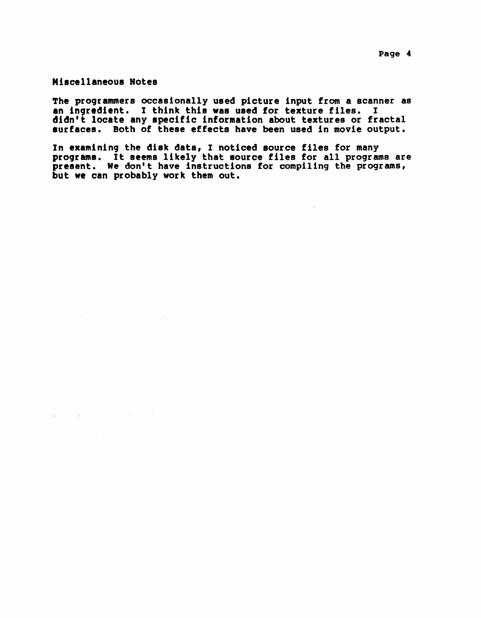Miscellaneous Notes

 $\sim$ 

 $\frac{1}{2}$  and  $\frac{1}{2}$  . The contribution of the contribution of the contribution of  $\frac{1}{2}$ 

 $\Delta_{\rm{L}}$ 

The programmers occasionally used picture input from a scanner as an ingredient. I think this was used for texture files. <sup>I</sup> didn't locate any specific information about textures or fractal surfaces. Both of these effects have been used in movie output.

In examining the diek data, I noticed Bource files for many programs. It 8eems likely that aource files for all programs are present. We don't have instructions for compiling the programs, but we can probably work them out.

 $\sim 10^{-1}$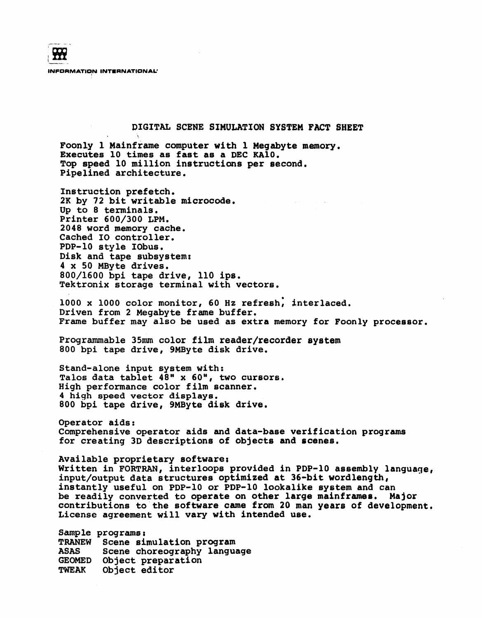**932** INFORMATION INTERNATIONAL'

## pIGITAL SCENE SIMULATION SYSTEM FACT SHEET

Foon1y 1 Mainframe computer with 1 Megabyte memory. Executes 10 times as fast as a DEC KAla. Top speed 10 million instructions per second. Pipelined architecture.

Instruction prefetch. 2K by 72 bit writable microcode. Up to 8 terminals. Printer 600/300 LPM. 2048 word memory cache. Cached 10 controller. PDP-lO style lObus. Disk and tape subsystem: 4 x 50 MByte drives.<br>800/1600 bpi tape drive, 110 ips. Tektronix storage terminal with vectors.

1000 x 1000 color monitor, 60 Hz refresh; interlaced. Driven from 2 Megabyte frame buffer. Frame buffer may also be used as extra memory for Foonly processor.

Programmable 35mm color film reader/recorder system SOO bpi tape drive, 9MByte disk drive.

Stand-alone input system with: Talos data tablet 4S" x 60", two cursors. High performance color film scanner. 4 high speed vector displays. 800 bpi tape drive, 9MByte disk drive.

Operator aids: Comprehensive operator aids and data-base verification programs for creating 3D descriptions of objects and scenes.

Available proprietary software, Written in FORTRAN, interloops provided in PDP-lO assembly language, input/output data structures optimized at 36-bit wordlength, instantly useful on PDP-IO or PDP-lO lookalike system and can be readily converted to operate on other large mainframes. Major contributions to-the software came from 20 man years of development. License agreement will vary with intended use.

Sample programs; TRANEW Scene simulation program ASAS GEOMED Object preparation TWEAK Object editor Scene choreography language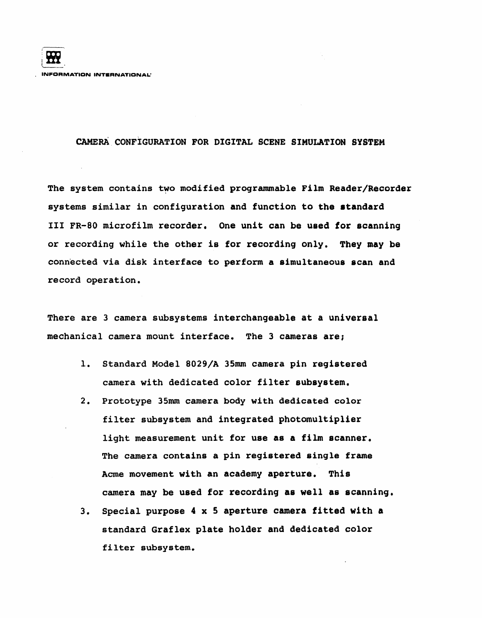# CAMERA CONFIGURATION FOR DIGITAL SCENE SIMULATION SYSTEM

The system contains two modified programmable Film Reader/Recorder systems similar in configuration and function to the atandard III FR-80 microfilm recorder. One unit can be used for scanning or recording while the other is for recording only. They may be connected via disk interface to perform a simultaneous scan and record operation.

There are 3 camera subsystems interchangeable at a universal mechanical camera mount interface. The 3 cameras are;

- 1. Standard Model 8029/A 35mm camera pin registered camera with dedicated color filter subsystem.
- 2. Prototype 35mm camera body with dedicated color filter subsystem and integrated photomultiplier light measurement unit for use as a film scanner. The camera contains a pin registered single frame Acme movement with an academy aperture. This camera may be used for recording as well as scanning.
- 3. Special purpose 4 x 5 aperture camera fitted with a standard Graflex plate holder and dedicated color filter subsystem.